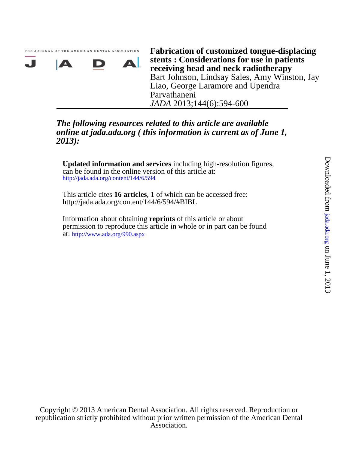. J

*JADA* 2013;144(6):594-600 Parvathaneni Liao, George Laramore and Upendra Bart Johnson, Lindsay Sales, Amy Winston, Jay **receiving head and neck radiotherapy stents : Considerations for use in patients Fabrication of customized tongue-displacing**

# *2013): online at jada.ada.org ( this information is current as of June 1, The following resources related to this article are available*

http://jada.ada.org/content/144/6/594 can be found in the online version of this article at: **Updated information and services** including high-resolution figures,

http://jada.ada.org/content/144/6/594/#BIBL This article cites **16 articles**, 1 of which can be accessed free:

ДI.

at: http://www.ada.org/990.aspx permission to reproduce this article in whole or in part can be found Information about obtaining **reprints** of this article or about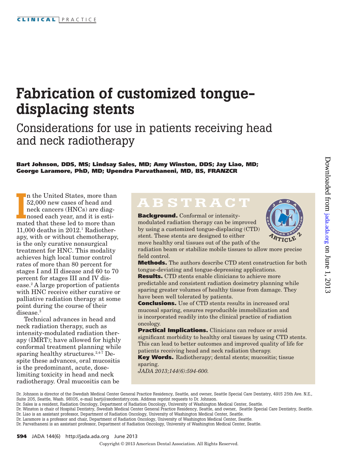$\bullet$ A $\Delta$ 

T I N U I O N U I O N G E D U C A T I O N G E D U C A T I O N U C A T I O N U C A T I O N U C A T I O N U C A <br>Turismo no contra contra contra contra contra contra contra contra contra contra contra contra contra contra c

**ARTICLE 2** 

 $^*/$   $\bullet$   $\bullet$   $^*$ 

O N

# Fabrication of customized tonguedisplacing stents

Considerations for use in patients receiving head and neck radiotherapy

Bart Johnson, DDS, MS; Lindsay Sales, MD; Amy Winston, DDS; Jay Liao, MD; George Laramore, PhD, MD; Upendra Parvathaneni, MD, BS, FRANZCR

In the United States, more than 52,000 new cases of head and neck cancers (HNCs) are diagnosed each year, and it is estimated that these led to more than n the United States, more than 52,000 new cases of head and neck cancers (HNCs) are diagnosed each year, and it is esti- $11,000$  deaths in  $2012.1$  Radiotherapy, with or without chemotherapy, is the only curative nonsurgical treatment for HNC. This modality achieves high local tumor control rates of more than 80 percent for stages I and II disease and 60 to 70 percent for stages III and IV disease.2 A large proportion of patients with HNC receive either curative or palliative radiation therapy at some point during the course of their disease<sup>3</sup>

Technical advances in head and neck radiation therapy, such as intensity-modulated radiation therapy (IMRT); have allowed for highly conformal treatment planning while sparing healthy structures. $2,4$ -7 Despite these advances, oral mucositis is the predominant, acute, doselimiting toxicity in head and neck radiotherapy. Oral mucositis can be

# ABSTRACT

Background. Conformal or intensitymodulated radiation therapy can be improved by using a customized tongue-displacing (CTD) stent. These stents are designed to either move healthy oral tissues out of the path of the

radiation beam or stabilize mobile tissues to allow more precise field control.

Methods. The authors describe CTD stent construction for both tongue-deviating and tongue-depressing applications.

Results. CTD stents enable clinicians to achieve more predictable and consistent radiation dosimetry planning while sparing greater volumes of healthy tissue from damage. They have been well tolerated by patients.

Conclusions. Use of CTD stents results in increased oral mucosal sparing, ensures reproducible immobilization and is incorporated readily into the clinical practice of radiation oncology.

**Practical Implications.** Clinicians can reduce or avoid significant morbidity to healthy oral tissues by using CTD stents. This can lead to better outcomes and improved quality of life for patients receiving head and neck radiation therapy.

Key Words. Radiotherapy; dental stents; mucositis; tissue sparing.

*JADA 2013;144(6):594-600.*

Dr. Johnson is director of the Swedish Medical Center General Practice Residency, Seattle, and owner, Seattle Special Care Dentistry, 4915 25th Ave. N.E., Suite 205, Seattle, Wash. 98105, e-mail bartj@sscdentistry.com. Address reprint requests to Dr. Johnson.

Dr. Sales is a resident, Radiation Oncology, Department of Radiation Oncology, University of Washington Medical Center, Seattle.

Dr. Winston is chair of Hospital Dentistry, Swedish Medical Center General Practice Residency, Seattle, and owner, Seattle Special Care Dentistry, Seattle. Dr. Liao is an assistant professor, Department of Radiation Oncology, University of Washington Medical Center, Seattle.

Dr. Laramore is a professor and chair, Department of Radiation Oncology, University of Washington Medical Center, Seattle.

Dr. Parvathaneni is an assistant professor, Department of Radiation Oncology, University of Washington Medical Center, Seattle.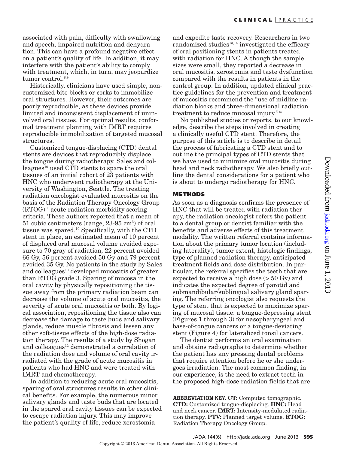associated with pain, difficulty with swallowing and speech, impaired nutrition and dehydration. This can have a profound negative effect on a patient's quality of life. In addition, it may interfere with the patient's ability to comply with treatment, which, in turn, may jeopardize tumor control.<sup>8,9</sup>

Historically, clinicians have used simple, noncustomized bite blocks or corks to immobilize oral structures. However, their outcomes are poorly reproducible, as these devices provide limited and inconsistent displacement of uninvolved oral tissues. For optimal results, conformal treatment planning with IMRT requires reproducible immobilization of targeted mucosal structures.

Customized tongue-displacing (CTD) dental stents are devices that reproducibly displace the tongue during radiotherapy. Sales and colleagues<sup>10</sup> used CTD stents to spare the oral tissues of an initial cohort of 23 patients with HNC who underwent radiotherapy at the University of Washington, Seattle. The treating radiation oncologist evaluated mucositis on the basis of the Radiation Therapy Oncology Group  $(RTOG)^{11}$  acute radiation morbidity scoring criteria. These authors reported that a mean of 51 cubic centimeters (range, 23-95 cm3 ) of oral tissue was spared.10 Specifically, with the CTD stent in place, an estimated mean of 10 percent of displaced oral mucosal volume avoided exposure to 70 gray of radiation, 22 percent avoided 66 Gy, 56 percent avoided 50 Gy and 79 percent avoided 35 Gy. No patients in the study by Sales and colleagues<sup>10</sup> developed mucositis of greater than RTOG grade 3. Sparing of mucosa in the oral cavity by physically repositioning the tissue away from the primary radiation beam can decrease the volume of acute oral mucositis, the severity of acute oral mucositis or both. By logical association, repositioning the tissue also can decrease the damage to taste buds and salivary glands, reduce muscle fibrosis and lessen any other soft-tissue effects of the high-dose radiation therapy. The results of a study by Shogan and colleagues<sup>12</sup> demonstrated a correlation of the radiation dose and volume of oral cavity irradiated with the grade of acute mucositis in patients who had HNC and were treated with IMRT and chemotherapy.

In addition to reducing acute oral mucositis, sparing of oral structures results in other clinical benefits. For example, the numerous minor salivary glands and taste buds that are located in the spared oral cavity tissues can be expected to escape radiation injury. This may improve the patient's quality of life, reduce xerostomia

and expedite taste recovery. Researchers in two randomized studies $13,14$  investigated the efficacy of oral positioning stents in patients treated with radiation for HNC. Although the sample sizes were small, they reported a decrease in oral mucositis, xerostomia and taste dysfunction compared with the results in patients in the control group. In addition, updated clinical practice guidelines for the prevention and treatment of mucositis recommend the "use of midline radiation blocks and three-dimensional radiation treatment to reduce mucosal injury."15

No published studies or reports, to our knowledge, describe the steps involved in creating a clinically useful CTD stent. Therefore, the purpose of this article is to describe in detail the process of fabricating a CTD stent and to outline the principal types of CTD stents that we have used to minimize oral mucositis during head and neck radiotherapy. We also briefly outline the dental considerations for a patient who is about to undergo radiotherapy for HNC.

#### **METHODS**

As soon as a diagnosis confirms the presence of HNC that will be treated with radiation therapy, the radiation oncologist refers the patient to a dental group or dentist familiar with the benefits and adverse effects of this treatment modality. The written referral contains information about the primary tumor location (including laterality), tumor extent, histologic findings, type of planned radiation therapy, anticipated treatment fields and dose distribution. In particular, the referral specifies the teeth that are expected to receive a high dose (> 50 Gy) and indicates the expected degree of parotid and submandibular/sublingual salivary gland sparing. The referring oncologist also requests the type of stent that is expected to maximize sparing of mucosal tissue: a tongue-depressing stent (Figures 1 through 3) for nasopharyngeal and base-of-tongue cancers or a tongue-deviating stent (Figure 4) for lateralized tonsil cancers.

The dentist performs an oral examination and obtains radiographs to determine whether the patient has any pressing dental problems that require attention before he or she undergoes irradiation. The most common finding, in our experience, is the need to extract teeth in the proposed high-dose radiation fields that are

ABBREVIATION KEY. **CT:** Computed tomographic. **CTD:** Customized tongue-displacing. **HNC:** Head and neck cancer. **IMRT:** Intensity-modulated radiation therapy. **PTV:** Planned target volume. **RTOG:** Radiation Therapy Oncology Group.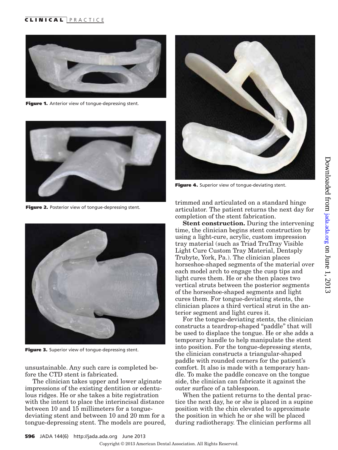# CLINICAL PRACTICE



Figure 1. Anterior view of tongue-depressing stent.



Figure 2. Posterior view of tongue-depressing stent.



Figure 3. Superior view of tongue-depressing stent.

unsustainable. Any such care is completed before the CTD stent is fabricated.

The clinician takes upper and lower alginate impressions of the existing dentition or edentulous ridges. He or she takes a bite registration with the intent to place the interincisal distance between 10 and 15 millimeters for a tonguedeviating stent and between 10 and 20 mm for a tongue-depressing stent. The models are poured,



Figure 4. Superior view of tongue-deviating stent.

trimmed and articulated on a standard hinge articulator. The patient returns the next day for completion of the stent fabrication.

**Stent construction.** During the intervening time, the clinician begins stent construction by using a light-cure, acrylic, custom impression tray material (such as Triad TruTray Visible Light Cure Custom Tray Material, Dentsply Trubyte, York, Pa.). The clinician places horseshoe-shaped segments of the material over each model arch to engage the cusp tips and light cures them. He or she then places two vertical struts between the posterior segments of the horseshoe-shaped segments and light cures them. For tongue-deviating stents, the clinician places a third vertical strut in the anterior segment and light cures it.

For the tongue-deviating stents, the clinician constructs a teardrop-shaped "paddle" that will be used to displace the tongue. He or she adds a temporary handle to help manipulate the stent into position. For the tongue-depressing stents, the clinician constructs a triangular-shaped paddle with rounded corners for the patient's comfort. It also is made with a temporary handle. To make the paddle concave on the tongue side, the clinician can fabricate it against the outer surface of a tablespoon.

When the patient returns to the dental practice the next day, he or she is placed in a supine position with the chin elevated to approximate the position in which he or she will be placed during radiotherapy. The clinician performs all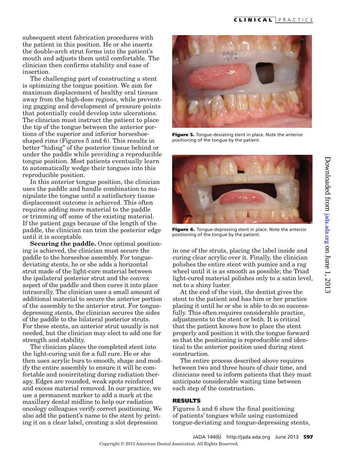subsequent stent fabrication procedures with the patient in this position. He or she inserts the double-arch strut forms into the patient's mouth and adjusts them until comfortable. The clinician then confirms stability and ease of insertion.

The challenging part of constructing a stent is optimizing the tongue position. We aim for maximum displacement of healthy oral tissues away from the high-dose regions, while preventing gagging and development of pressure points that potentially could develop into ulcerations. The clinician must instruct the patient to place the tip of the tongue between the anterior portions of the superior and inferior horseshoeshaped rims (Figures 5 and 6). This results in better "hiding" of the posterior tissue behind or under the paddle while providing a reproducible tongue position. Most patients eventually learn to automatically wedge their tongues into this reproducible position.

In this anterior tongue position, the clinician uses the paddle and handle combination to manipulate the tongue until a satisfactory tissue displacement outcome is achieved. This often requires adding more material to the paddle or trimming off some of the existing material. If the patient gags because of the length of the paddle, the clinician can trim the posterior edge until it is acceptable.

**Securing the paddle.** Once optimal positioning is achieved, the clinician must secure the paddle to the horseshoe assembly. For tonguedeviating stents, he or she adds a horizontal strut made of the light-cure material between the ipsilateral posterior strut and the convex aspect of the paddle and then cures it into place intraorally. The clinician uses a small amount of additional material to secure the anterior portion of the assembly to the anterior strut. For tonguedepressing stents, the clinician secures the sides of the paddle to the bilateral posterior struts. For these stents, an anterior strut usually is not needed, but the clinician may elect to add one for strength and stability.

The clinician places the completed stent into the light-curing unit for a full cure. He or she then uses acrylic burs to smooth, shape and modify the entire assembly to ensure it will be comfortable and nonirritating during radiation therapy. Edges are rounded, weak spots reinforced and excess material removed. In our practice, we use a permanent marker to add a mark at the maxillary dental midline to help our radiation oncology colleagues verify correct positioning. We also add the patient's name to the stent by printing it on a clear label, creating a slot depression



Figure 5. Tonque-deviating stent in place. Note the anterior positioning of the tongue by the patient.



Figure 6. Tonque-depressing stent in place. Note the anterior positioning of the tongue by the patient.

in one of the struts, placing the label inside and curing clear acrylic over it. Finally, the clinician polishes the entire stent with pumice and a rag wheel until it is as smooth as possible; the Triad light-cured material polishes only to a satin level, not to a shiny luster.

At the end of the visit, the dentist gives the stent to the patient and has him or her practice placing it until he or she is able to do so successfully. This often requires considerable practice, adjustments to the stent or both. It is critical that the patient knows how to place the stent properly and position it with the tongue forward so that the positioning is reproducible and identical to the anterior position used during stent construction.

The entire process described above requires between two and three hours of chair time, and clinicians need to inform patients that they must anticipate considerable waiting time between each step of the construction.

#### **RESULTS**

Figures 5 and 6 show the final positioning of patients' tongues while using customized tongue-deviating and tongue-depressing stents,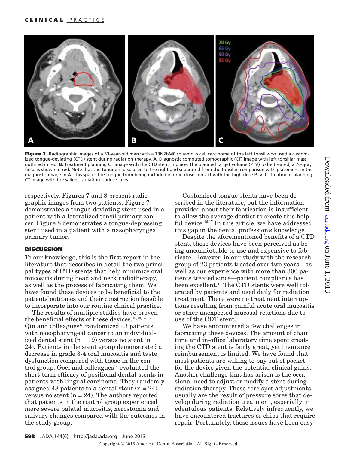

Figure 7. Radiographic images of a 53-year-old man with a T3N2bM0 squamous cell carcinoma of the left tonsil who used a customized tongue-deviating (CTD) stent during radiation therapy. **A.** Diagnostic computed tomographic (CT) image with left tonsillar mass outlined in red. **B.** Treatment planning CT image with the CTD stent in place. The planned target volume (PTV) to be treated, a 70-gray field, is shown in red. Note that the tongue is displaced to the right and separated from the tonsil in comparison with placement in the diagnostic image in **A.** This spares the tongue from being included in or in close contact with the high-dose PTV. **C.** Treatment planning CT image with the salient radiation isodose lines.

respectively. Figures 7 and 8 present radiographic images from two patients. Figure 7 demonstrates a tongue-deviating stent used in a patient with a lateralized tonsil primary cancer. Figure 8 demonstrates a tongue-depressing stent used in a patient with a nasopharyngeal primary tumor.

## **DISCUSSION**

To our knowledge, this is the first report in the literature that describes in detail the two principal types of CTD stents that help minimize oral mucositis during head and neck radiotherapy, as well as the process of fabricating them. We have found these devices to be beneficial to the patients' outcomes and their construction feasible to incorporate into our routine clinical practice.

The results of multiple studies have proven the beneficial effects of these devices.<sup>10,13,14,16</sup>  $Q$ in and colleagues<sup>13</sup> randomized 43 patients with nasopharyngeal cancer to an individualized dental stent  $(n = 19)$  versus no stent  $(n = 19)$ 24). Patients in the stent group demonstrated a decrease in grade 3-4 oral mucositis and taste dysfunction compared with those in the control group. Goel and colleagues $14$  evaluated the short-term efficacy of positional dental stents in patients with lingual carcinoma. They randomly assigned 48 patients to a dental stent  $(n = 24)$ versus no stent  $(n = 24)$ . The authors reported that patients in the control group experienced more severe palatal mucositis, xerostomia and salivary changes compared with the outcomes in the study group.

Customized tongue stents have been described in the literature, but the information provided about their fabrication is insufficient to allow the average dentist to create this helpful device.<sup>16,17</sup> In this article, we have addressed this gap in the dental profession's knowledge.

Despite the aforementioned benefits of a CTD stent, these devices have been perceived as being uncomfortable to use and expensive to fabricate. However, in our study with the research group of 23 patients treated over two years—as well as our experience with more than 300 patients treated since—patient compliance has been excellent.10 The CTD stents were well tolerated by patients and used daily for radiation treatment. There were no treatment interruptions resulting from painful acute oral mucositis or other unexpected mucosal reactions due to use of the CDT stent.

We have encountered a few challenges in fabricating these devices. The amount of chair time and in-office laboratory time spent creating the CTD stent is fairly great, yet insurance reimbursement is limited. We have found that most patients are willing to pay out of pocket for the device given the potential clinical gains. Another challenge that has arisen is the occasional need to adjust or modify a stent during radiation therapy. These sore spot adjustments usually are the result of pressure sores that develop during radiation treatment, especially in edentulous patients. Relatively infrequently, we have encountered fractures or chips that require repair. Fortunately, these issues have been easy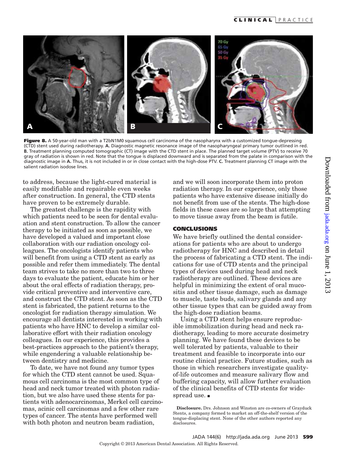

Figure 8. A 50-year-old man with a T2bN1M0 squamous cell carcinoma of the nasopharynx with a customized tonque-depressing (CTD) stent used during radiotherapy. **A.** Diagnostic magnetic resonance image of the nasopharyngeal primary tumor outlined in red. **B.** Treatment planning computed tomographic (CT) image with the CTD stent in place. The planned target volume (PTV) to receive 70 gray of radiation is shown in red. Note that the tongue is displaced downward and is separated from the palate in comparison with the diagnostic image in **A.** Thus, it is not included in or in close contact with the high-dose PTV. **C.** Treatment planning CT image with the salient radiation isodose lines.

to address, because the light-cured material is easily modifiable and repairable even weeks after construction. In general, the CTD stents have proven to be extremely durable.

The greatest challenge is the rapidity with which patients need to be seen for dental evaluation and stent construction. To allow the cancer therapy to be initiated as soon as possible, we have developed a valued and important close collaboration with our radiation oncology colleagues. The oncologists identify patients who will benefit from using a CTD stent as early as possible and refer them immediately. The dental team strives to take no more than two to three days to evaluate the patient, educate him or her about the oral effects of radiation therapy, provide critical preventive and interventive care, and construct the CTD stent. As soon as the CTD stent is fabricated, the patient returns to the oncologist for radiation therapy simulation. We encourage all dentists interested in working with patients who have HNC to develop a similar collaborative effort with their radiation oncology colleagues. In our experience, this provides a best-practices approach to the patient's therapy, while engendering a valuable relationship between dentistry and medicine.

To date, we have not found any tumor types for which the CTD stent cannot be used. Squamous cell carcinoma is the most common type of head and neck tumor treated with photon radiation, but we also have used these stents for patients with adenocarcinomas, Merkel cell carcinomas, acinic cell carcinomas and a few other rare types of cancer. The stents have performed well with both photon and neutron beam radiation,

and we will soon incorporate them into proton radiation therapy. In our experience, only those patients who have extensive disease initially do not benefit from use of the stents. The high-dose fields in these cases are so large that attempting to move tissue away from the beam is futile.

### **CONCLUSIONS**

We have briefly outlined the dental considerations for patients who are about to undergo radiotherapy for HNC and described in detail the process of fabricating a CTD stent. The indications for use of CTD stents and the principal types of devices used during head and neck radiotherapy are outlined. These devices are helpful in minimizing the extent of oral mucositis and other tissue damage, such as damage to muscle, taste buds, salivary glands and any other tissue types that can be guided away from the high-dose radiation beams.

Using a CTD stent helps ensure reproducible immobilization during head and neck radiotherapy, leading to more accurate dosimetry planning. We have found these devices to be well tolerated by patients, valuable to their treatment and feasible to incorporate into our routine clinical practice. Future studies, such as those in which researchers investigate qualityof-life outcomes and measure salivary flow and buffering capacity, will allow further evaluation of the clinical benefits of CTD stents for widespread use.  $\blacksquare$ 

**Disclosure.** Drs. Johnson and Winston are co-owners of Grayduck Stents, a company formed to market an off-the-shelf version of the tongue-displacing stent. None of the other authors reported any disclosures.